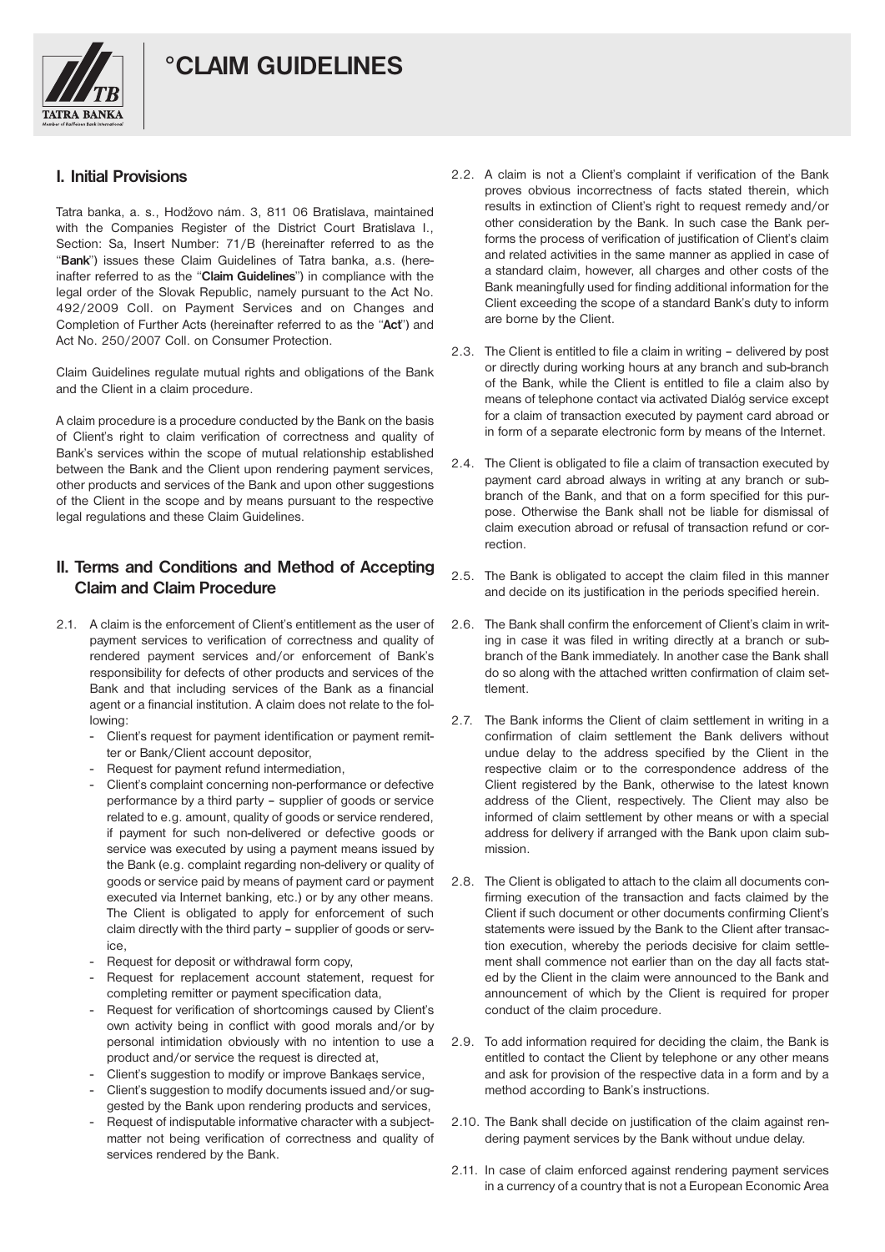

#### **I. Initial Provisions**

**TATRA BANKA** 

Tatra banka, a. s., Hodžovo nám. 3, 811 06 Bratislava, maintained with the Companies Register of the District Court Bratislava I., Section: Sa, Insert Number: 71/B (hereinafter referred to as the "**Bank**") issues these Claim Guidelines of Tatra banka, a.s. (hereinafter referred to as the "**Claim Guidelines**") in compliance with the legal order of the Slovak Republic, namely pursuant to the Act No. 492/2009 Coll. on Payment Services and on Changes and Completion of Further Acts (hereinafter referred to as the "**Act**") and Act No. 250/2007 Coll. on Consumer Protection.

Claim Guidelines regulate mutual rights and obligations of the Bank and the Client in a claim procedure.

A claim procedure is a procedure conducted by the Bank on the basis of Client's right to claim verification of correctness and quality of Bank's services within the scope of mutual relationship established between the Bank and the Client upon rendering payment services, other products and services of the Bank and upon other suggestions of the Client in the scope and by means pursuant to the respective legal regulations and these Claim Guidelines.

## **II. Terms and Conditions and Method of Accepting Claim and Claim Procedure**

- 2.1. A claim is the enforcement of Client's entitlement as the user of payment services to verification of correctness and quality of rendered payment services and/or enforcement of Bank's responsibility for defects of other products and services of the Bank and that including services of the Bank as a financial agent or a financial institution. A claim does not relate to the following:
	- Client's request for payment identification or payment remitter or Bank/Client account depositor,
	- Request for payment refund intermediation,
	- Client's complaint concerning non-performance or defective performance by a third party – supplier of goods or service related to e.g. amount, quality of goods or service rendered, if payment for such non-delivered or defective goods or service was executed by using a payment means issued by the Bank (e.g. complaint regarding non-delivery or quality of goods or service paid by means of payment card or payment executed via Internet banking, etc.) or by any other means. The Client is obligated to apply for enforcement of such claim directly with the third party – supplier of goods or service,
	- Request for deposit or withdrawal form copy.
	- Request for replacement account statement, request for completing remitter or payment specification data,
	- Request for verification of shortcomings caused by Client's own activity being in conflict with good morals and/or by personal intimidation obviously with no intention to use a product and/or service the request is directed at,
	- Client's suggestion to modify or improve Bankaes service,
	- Client's suggestion to modify documents issued and/or suggested by the Bank upon rendering products and services,
	- Request of indisputable informative character with a subjectmatter not being verification of correctness and quality of services rendered by the Bank.
- 2.2. A claim is not a Client's complaint if verification of the Bank proves obvious incorrectness of facts stated therein, which results in extinction of Client's right to request remedy and/or other consideration by the Bank. In such case the Bank performs the process of verification of justification of Client's claim and related activities in the same manner as applied in case of a standard claim, however, all charges and other costs of the Bank meaningfully used for finding additional information for the Client exceeding the scope of a standard Bank's duty to inform are borne by the Client.
- 2.3. The Client is entitled to file a claim in writing delivered by post or directly during working hours at any branch and sub-branch of the Bank, while the Client is entitled to file a claim also by means of telephone contact via activated Dialóg service except for a claim of transaction executed by payment card abroad or in form of a separate electronic form by means of the Internet.
- 2.4. The Client is obligated to file a claim of transaction executed by payment card abroad always in writing at any branch or subbranch of the Bank, and that on a form specified for this purpose. Otherwise the Bank shall not be liable for dismissal of claim execution abroad or refusal of transaction refund or correction.
- 2.5. The Bank is obligated to accept the claim filed in this manner and decide on its justification in the periods specified herein.
- 2.6. The Bank shall confirm the enforcement of Client's claim in writing in case it was filed in writing directly at a branch or subbranch of the Bank immediately. In another case the Bank shall do so along with the attached written confirmation of claim settlement.
- 2.7. The Bank informs the Client of claim settlement in writing in a confirmation of claim settlement the Bank delivers without undue delay to the address specified by the Client in the respective claim or to the correspondence address of the Client registered by the Bank, otherwise to the latest known address of the Client, respectively. The Client may also be informed of claim settlement by other means or with a special address for delivery if arranged with the Bank upon claim submission.
- 2.8. The Client is obligated to attach to the claim all documents confirming execution of the transaction and facts claimed by the Client if such document or other documents confirming Client's statements were issued by the Bank to the Client after transaction execution, whereby the periods decisive for claim settlement shall commence not earlier than on the day all facts stated by the Client in the claim were announced to the Bank and announcement of which by the Client is required for proper conduct of the claim procedure.
- 2.9. To add information required for deciding the claim, the Bank is entitled to contact the Client by telephone or any other means and ask for provision of the respective data in a form and by a method according to Bank's instructions.
- 2.10. The Bank shall decide on justification of the claim against rendering payment services by the Bank without undue delay.
- 2.11. In case of claim enforced against rendering payment services in a currency of a country that is not a European Economic Area